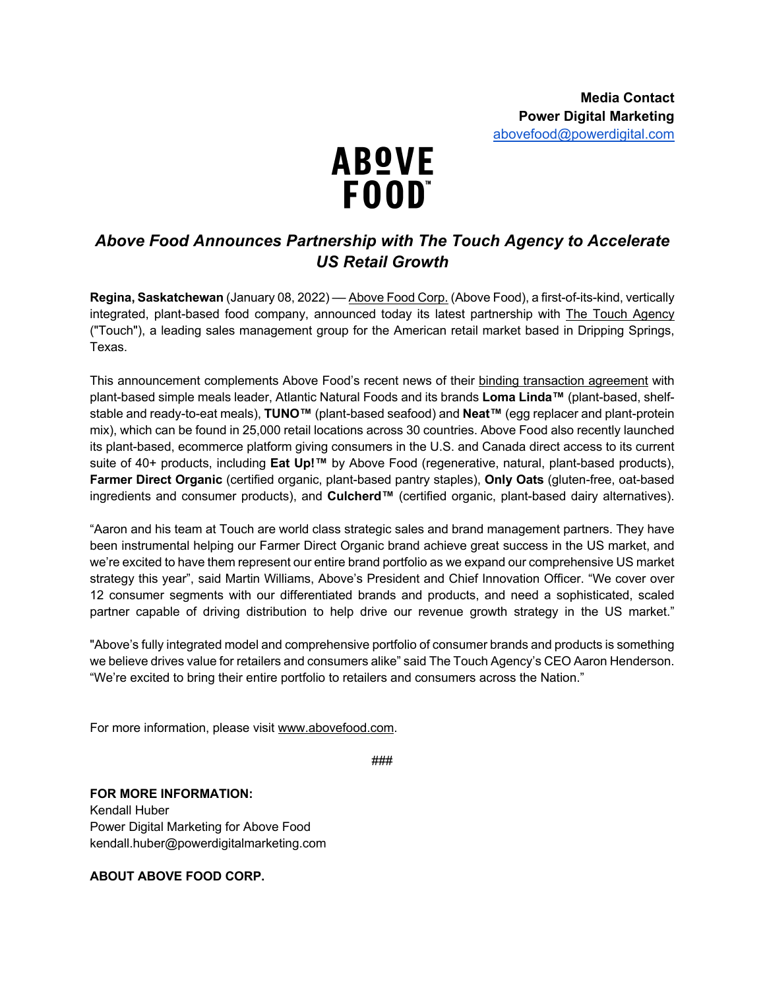

## *Above Food Announces Partnership with The Touch Agency to Accelerate US Retail Growth*

**Regina, Saskatchewan** (January 08, 2022) –– Above Food Corp. (Above Food), a first-of-its-kind, vertically integrated, plant-based food company, announced today its latest partnership with **The Touch Agency** ("Touch"), a leading sales management group for the American retail market based in Dripping Springs, Texas.

This announcement complements Above Food's recent news of their binding transaction agreement with plant-based simple meals leader, Atlantic Natural Foods and its brands **Loma Linda™** (plant-based, shelfstable and ready-to-eat meals), **TUNO™** (plant-based seafood) and **Neat™** (egg replacer and plant-protein mix), which can be found in 25,000 retail locations across 30 countries. Above Food also recently launched its plant-based, ecommerce platform giving consumers in the U.S. and Canada direct access to its current suite of 40+ products, including **Eat Up!™** by Above Food (regenerative, natural, plant-based products), **Farmer Direct Organic** (certified organic, plant-based pantry staples), **Only Oats** (gluten-free, oat-based ingredients and consumer products), and **Culcherd™** (certified organic, plant-based dairy alternatives).

"Aaron and his team at Touch are world class strategic sales and brand management partners. They have been instrumental helping our Farmer Direct Organic brand achieve great success in the US market, and we're excited to have them represent our entire brand portfolio as we expand our comprehensive US market strategy this year", said Martin Williams, Above's President and Chief Innovation Officer. "We cover over 12 consumer segments with our differentiated brands and products, and need a sophisticated, scaled partner capable of driving distribution to help drive our revenue growth strategy in the US market."

"Above's fully integrated model and comprehensive portfolio of consumer brands and products is something we believe drives value for retailers and consumers alike" said The Touch Agency's CEO Aaron Henderson. "We're excited to bring their entire portfolio to retailers and consumers across the Nation."

For more information, please visit www.abovefood.com.

###

**FOR MORE INFORMATION:** Kendall Huber

Power Digital Marketing for Above Food kendall.huber@powerdigitalmarketing.com

**ABOUT ABOVE FOOD CORP.**